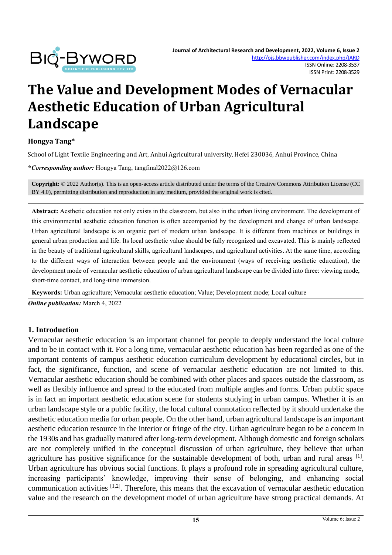

# **The Value and Development Modes of Vernacular Aesthetic Education of Urban Agricultural Landscape**

#### **Hongya Tang\***

School of Light Textile Engineering and Art, Anhui Agricultural university, Hefei 230036, Anhui Province, China

**\****Corresponding author:* Hongya Tang, tangfinal2022@126.com

**Copyright:** © 2022 Author(s). This is an open-access article distributed under the terms of th[e Creative Commons Attribution License \(CC](https://creativecommons.org/licenses/by/4.0/)  [BY 4.0\),](https://creativecommons.org/licenses/by/4.0/) permitting distribution and reproduction in any medium, provided the original work is cited.

**Abstract:** Aesthetic education not only exists in the classroom, but also in the urban living environment. The development of this environmental aesthetic education function is often accompanied by the development and change of urban landscape. Urban agricultural landscape is an organic part of modern urban landscape. It is different from machines or buildings in general urban production and life. Its local aesthetic value should be fully recognized and excavated. This is mainly reflected in the beauty of traditional agricultural skills, agricultural landscapes, and agricultural activities. At the same time, according to the different ways of interaction between people and the environment (ways of receiving aesthetic education), the development mode of vernacular aesthetic education of urban agricultural landscape can be divided into three: viewing mode, short-time contact, and long-time immersion.

**Keywords:** Urban agriculture; Vernacular aesthetic education; Value; Development mode; Local culture

*Online publication:* March 4, 2022

#### **1. Introduction**

Vernacular aesthetic education is an important channel for people to deeply understand the local culture and to be in contact with it. For a long time, vernacular aesthetic education has been regarded as one of the important contents of campus aesthetic education curriculum development by educational circles, but in fact, the significance, function, and scene of vernacular aesthetic education are not limited to this. Vernacular aesthetic education should be combined with other places and spaces outside the classroom, as well as flexibly influence and spread to the educated from multiple angles and forms. Urban public space is in fact an important aesthetic education scene for students studying in urban campus. Whether it is an urban landscape style or a public facility, the local cultural connotation reflected by it should undertake the aesthetic education media for urban people. On the other hand, urban agricultural landscape is an important aesthetic education resource in the interior or fringe of the city. Urban agriculture began to be a concern in the 1930s and has gradually matured after long-term development. Although domestic and foreign scholars are not completely unified in the conceptual discussion of urban agriculture, they believe that urban agriculture has positive significance for the sustainable development of both, urban and rural areas  $[1]$ . Urban agriculture has obvious social functions. It plays a profound role in spreading agricultural culture, increasing participants' knowledge, improving their sense of belonging, and enhancing social communication activities [1,2]. Therefore, this means that the excavation of vernacular aesthetic education value and the research on the development model of urban agriculture have strong practical demands. At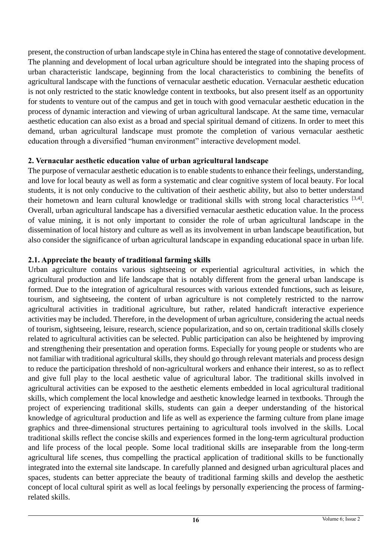present, the construction of urban landscape style in China has entered the stage of connotative development. The planning and development of local urban agriculture should be integrated into the shaping process of urban characteristic landscape, beginning from the local characteristics to combining the benefits of agricultural landscape with the functions of vernacular aesthetic education. Vernacular aesthetic education is not only restricted to the static knowledge content in textbooks, but also present itself as an opportunity for students to venture out of the campus and get in touch with good vernacular aesthetic education in the process of dynamic interaction and viewing of urban agricultural landscape. At the same time, vernacular aesthetic education can also exist as a broad and special spiritual demand of citizens. In order to meet this demand, urban agricultural landscape must promote the completion of various vernacular aesthetic education through a diversified "human environment" interactive development model.

#### **2. Vernacular aesthetic education value of urban agricultural landscape**

The purpose of vernacular aesthetic education is to enable students to enhance their feelings, understanding, and love for local beauty as well as form a systematic and clear cognitive system of local beauty. For local students, it is not only conducive to the cultivation of their aesthetic ability, but also to better understand their hometown and learn cultural knowledge or traditional skills with strong local characteristics  $[3,4]$ . Overall, urban agricultural landscape has a diversified vernacular aesthetic education value. In the process of value mining, it is not only important to consider the role of urban agricultural landscape in the dissemination of local history and culture as well as its involvement in urban landscape beautification, but also consider the significance of urban agricultural landscape in expanding educational space in urban life.

# **2.1. Appreciate the beauty of traditional farming skills**

Urban agriculture contains various sightseeing or experiential agricultural activities, in which the agricultural production and life landscape that is notably different from the general urban landscape is formed. Due to the integration of agricultural resources with various extended functions, such as leisure, tourism, and sightseeing, the content of urban agriculture is not completely restricted to the narrow agricultural activities in traditional agriculture, but rather, related handicraft interactive experience activities may be included. Therefore, in the development of urban agriculture, considering the actual needs of tourism, sightseeing, leisure, research, science popularization, and so on, certain traditional skills closely related to agricultural activities can be selected. Public participation can also be heightened by improving and strengthening their presentation and operation forms. Especially for young people or students who are not familiar with traditional agricultural skills, they should go through relevant materials and process design to reduce the participation threshold of non-agricultural workers and enhance their interest, so as to reflect and give full play to the local aesthetic value of agricultural labor. The traditional skills involved in agricultural activities can be exposed to the aesthetic elements embedded in local agricultural traditional skills, which complement the local knowledge and aesthetic knowledge learned in textbooks. Through the project of experiencing traditional skills, students can gain a deeper understanding of the historical knowledge of agricultural production and life as well as experience the farming culture from plane image graphics and three-dimensional structures pertaining to agricultural tools involved in the skills. Local traditional skills reflect the concise skills and experiences formed in the long-term agricultural production and life process of the local people. Some local traditional skills are inseparable from the long-term agricultural life scenes, thus compelling the practical application of traditional skills to be functionally integrated into the external site landscape. In carefully planned and designed urban agricultural places and spaces, students can better appreciate the beauty of traditional farming skills and develop the aesthetic concept of local cultural spirit as well as local feelings by personally experiencing the process of farmingrelated skills.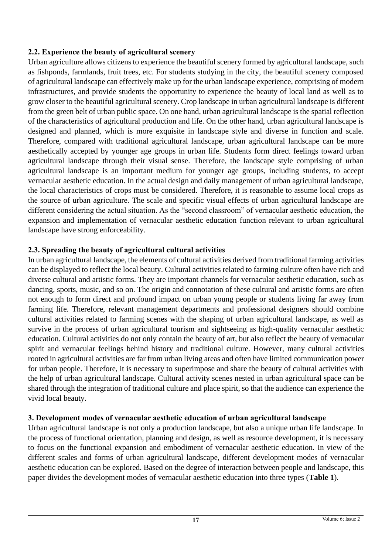# **2.2. Experience the beauty of agricultural scenery**

Urban agriculture allows citizens to experience the beautiful scenery formed by agricultural landscape, such as fishponds, farmlands, fruit trees, etc. For students studying in the city, the beautiful scenery composed of agricultural landscape can effectively make up for the urban landscape experience, comprising of modern infrastructures, and provide students the opportunity to experience the beauty of local land as well as to grow closer to the beautiful agricultural scenery. Crop landscape in urban agricultural landscape is different from the green belt of urban public space. On one hand, urban agricultural landscape is the spatial reflection of the characteristics of agricultural production and life. On the other hand, urban agricultural landscape is designed and planned, which is more exquisite in landscape style and diverse in function and scale. Therefore, compared with traditional agricultural landscape, urban agricultural landscape can be more aesthetically accepted by younger age groups in urban life. Students form direct feelings toward urban agricultural landscape through their visual sense. Therefore, the landscape style comprising of urban agricultural landscape is an important medium for younger age groups, including students, to accept vernacular aesthetic education. In the actual design and daily management of urban agricultural landscape, the local characteristics of crops must be considered. Therefore, it is reasonable to assume local crops as the source of urban agriculture. The scale and specific visual effects of urban agricultural landscape are different considering the actual situation. As the "second classroom" of vernacular aesthetic education, the expansion and implementation of vernacular aesthetic education function relevant to urban agricultural landscape have strong enforceability.

# **2.3. Spreading the beauty of agricultural cultural activities**

In urban agricultural landscape, the elements of cultural activities derived from traditional farming activities can be displayed to reflect the local beauty. Cultural activities related to farming culture often have rich and diverse cultural and artistic forms. They are important channels for vernacular aesthetic education, such as dancing, sports, music, and so on. The origin and connotation of these cultural and artistic forms are often not enough to form direct and profound impact on urban young people or students living far away from farming life. Therefore, relevant management departments and professional designers should combine cultural activities related to farming scenes with the shaping of urban agricultural landscape, as well as survive in the process of urban agricultural tourism and sightseeing as high-quality vernacular aesthetic education. Cultural activities do not only contain the beauty of art, but also reflect the beauty of vernacular spirit and vernacular feelings behind history and traditional culture. However, many cultural activities rooted in agricultural activities are far from urban living areas and often have limited communication power for urban people. Therefore, it is necessary to superimpose and share the beauty of cultural activities with the help of urban agricultural landscape. Cultural activity scenes nested in urban agricultural space can be shared through the integration of traditional culture and place spirit, so that the audience can experience the vivid local beauty.

# **3. Development modes of vernacular aesthetic education of urban agricultural landscape**

Urban agricultural landscape is not only a production landscape, but also a unique urban life landscape. In the process of functional orientation, planning and design, as well as resource development, it is necessary to focus on the functional expansion and embodiment of vernacular aesthetic education. In view of the different scales and forms of urban agricultural landscape, different development modes of vernacular aesthetic education can be explored. Based on the degree of interaction between people and landscape, this paper divides the development modes of vernacular aesthetic education into three types (**Table 1**).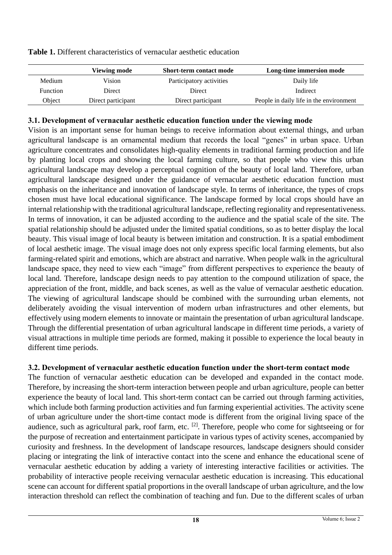|                 | Viewing mode       | <b>Short-term contact mode</b> | Long-time immersion mode                |
|-----------------|--------------------|--------------------------------|-----------------------------------------|
| Medium          | Vision             | Participatory activities       | Daily life                              |
| <b>Function</b> | Direct             | Direct                         | Indirect                                |
| Object          | Direct participant | Direct participant             | People in daily life in the environment |
|                 |                    |                                |                                         |

**Table 1.** Different characteristics of vernacular aesthetic education

### **3.1. Development of vernacular aesthetic education function under the viewing mode**

Vision is an important sense for human beings to receive information about external things, and urban agricultural landscape is an ornamental medium that records the local "genes" in urban space. Urban agriculture concentrates and consolidates high-quality elements in traditional farming production and life by planting local crops and showing the local farming culture, so that people who view this urban agricultural landscape may develop a perceptual cognition of the beauty of local land. Therefore, urban agricultural landscape designed under the guidance of vernacular aesthetic education function must emphasis on the inheritance and innovation of landscape style. In terms of inheritance, the types of crops chosen must have local educational significance. The landscape formed by local crops should have an internal relationship with the traditional agricultural landscape, reflecting regionality and representativeness. In terms of innovation, it can be adjusted according to the audience and the spatial scale of the site. The spatial relationship should be adjusted under the limited spatial conditions, so as to better display the local beauty. This visual image of local beauty is between imitation and construction. It is a spatial embodiment of local aesthetic image. The visual image does not only express specific local farming elements, but also farming-related spirit and emotions, which are abstract and narrative. When people walk in the agricultural landscape space, they need to view each "image" from different perspectives to experience the beauty of local land. Therefore, landscape design needs to pay attention to the compound utilization of space, the appreciation of the front, middle, and back scenes, as well as the value of vernacular aesthetic education. The viewing of agricultural landscape should be combined with the surrounding urban elements, not deliberately avoiding the visual intervention of modern urban infrastructures and other elements, but effectively using modern elements to innovate or maintain the presentation of urban agricultural landscape. Through the differential presentation of urban agricultural landscape in different time periods, a variety of visual attractions in multiple time periods are formed, making it possible to experience the local beauty in different time periods.

# **3.2. Development of vernacular aesthetic education function under the short-term contact mode**

The function of vernacular aesthetic education can be developed and expanded in the contact mode. Therefore, by increasing the short-term interaction between people and urban agriculture, people can better experience the beauty of local land. This short-term contact can be carried out through farming activities, which include both farming production activities and fun farming experiential activities. The activity scene of urban agriculture under the short-time contact mode is different from the original living space of the audience, such as agricultural park, roof farm, etc. [2]. Therefore, people who come for sightseeing or for the purpose of recreation and entertainment participate in various types of activity scenes, accompanied by curiosity and freshness. In the development of landscape resources, landscape designers should consider placing or integrating the link of interactive contact into the scene and enhance the educational scene of vernacular aesthetic education by adding a variety of interesting interactive facilities or activities. The probability of interactive people receiving vernacular aesthetic education is increasing. This educational scene can account for different spatial proportions in the overall landscape of urban agriculture, and the low interaction threshold can reflect the combination of teaching and fun. Due to the different scales of urban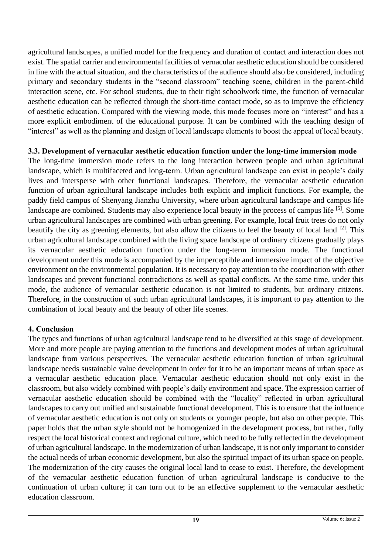agricultural landscapes, a unified model for the frequency and duration of contact and interaction does not exist. The spatial carrier and environmental facilities of vernacular aesthetic education should be considered in line with the actual situation, and the characteristics of the audience should also be considered, including primary and secondary students in the "second classroom" teaching scene, children in the parent-child interaction scene, etc. For school students, due to their tight schoolwork time, the function of vernacular aesthetic education can be reflected through the short-time contact mode, so as to improve the efficiency of aesthetic education. Compared with the viewing mode, this mode focuses more on "interest" and has a more explicit embodiment of the educational purpose. It can be combined with the teaching design of "interest" as well as the planning and design of local landscape elements to boost the appeal of local beauty.

#### **3.3. Development of vernacular aesthetic education function under the long-time immersion mode**

The long-time immersion mode refers to the long interaction between people and urban agricultural landscape, which is multifaceted and long-term. Urban agricultural landscape can exist in people's daily lives and intersperse with other functional landscapes. Therefore, the vernacular aesthetic education function of urban agricultural landscape includes both explicit and implicit functions. For example, the paddy field campus of Shenyang Jianzhu University, where urban agricultural landscape and campus life landscape are combined. Students may also experience local beauty in the process of campus life [5]. Some urban agricultural landscapes are combined with urban greening. For example, local fruit trees do not only beautify the city as greening elements, but also allow the citizens to feel the beauty of local land [2]. This urban agricultural landscape combined with the living space landscape of ordinary citizens gradually plays its vernacular aesthetic education function under the long-term immersion mode. The functional development under this mode is accompanied by the imperceptible and immersive impact of the objective environment on the environmental population. It is necessary to pay attention to the coordination with other landscapes and prevent functional contradictions as well as spatial conflicts. At the same time, under this mode, the audience of vernacular aesthetic education is not limited to students, but ordinary citizens. Therefore, in the construction of such urban agricultural landscapes, it is important to pay attention to the combination of local beauty and the beauty of other life scenes.

#### **4. Conclusion**

The types and functions of urban agricultural landscape tend to be diversified at this stage of development. More and more people are paying attention to the functions and development modes of urban agricultural landscape from various perspectives. The vernacular aesthetic education function of urban agricultural landscape needs sustainable value development in order for it to be an important means of urban space as a vernacular aesthetic education place. Vernacular aesthetic education should not only exist in the classroom, but also widely combined with people's daily environment and space. The expression carrier of vernacular aesthetic education should be combined with the "locality" reflected in urban agricultural landscapes to carry out unified and sustainable functional development. This is to ensure that the influence of vernacular aesthetic education is not only on students or younger people, but also on other people. This paper holds that the urban style should not be homogenized in the development process, but rather, fully respect the local historical context and regional culture, which need to be fully reflected in the development of urban agricultural landscape. In the modernization of urban landscape, it is not only important to consider the actual needs of urban economic development, but also the spiritual impact of its urban space on people. The modernization of the city causes the original local land to cease to exist. Therefore, the development of the vernacular aesthetic education function of urban agricultural landscape is conducive to the continuation of urban culture; it can turn out to be an effective supplement to the vernacular aesthetic education classroom.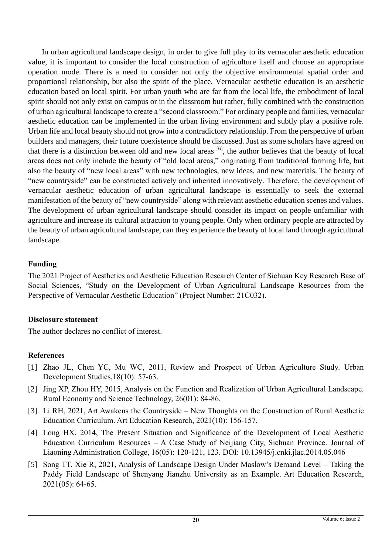In urban agricultural landscape design, in order to give full play to its vernacular aesthetic education value, it is important to consider the local construction of agriculture itself and choose an appropriate operation mode. There is a need to consider not only the objective environmental spatial order and proportional relationship, but also the spirit of the place. Vernacular aesthetic education is an aesthetic education based on local spirit. For urban youth who are far from the local life, the embodiment of local spirit should not only exist on campus or in the classroom but rather, fully combined with the construction of urban agricultural landscape to create a "second classroom." For ordinary people and families, vernacular aesthetic education can be implemented in the urban living environment and subtly play a positive role. Urban life and local beauty should not grow into a contradictory relationship. From the perspective of urban builders and managers, their future coexistence should be discussed. Just as some scholars have agreed on that there is a distinction between old and new local areas [6], the author believes that the beauty of local areas does not only include the beauty of "old local areas," originating from traditional farming life, but also the beauty of "new local areas" with new technologies, new ideas, and new materials. The beauty of "new countryside" can be constructed actively and inherited innovatively. Therefore, the development of vernacular aesthetic education of urban agricultural landscape is essentially to seek the external manifestation of the beauty of "new countryside" along with relevant aesthetic education scenes and values. The development of urban agricultural landscape should consider its impact on people unfamiliar with agriculture and increase its cultural attraction to young people. Only when ordinary people are attracted by the beauty of urban agricultural landscape, can they experience the beauty of local land through agricultural landscape.

## **Funding**

The 2021 Project of Aesthetics and Aesthetic Education Research Center of Sichuan Key Research Base of Social Sciences, "Study on the Development of Urban Agricultural Landscape Resources from the Perspective of Vernacular Aesthetic Education" (Project Number: 21C032).

# **Disclosure statement**

The author declares no conflict of interest.

# **References**

- [1] Zhao JL, Chen YC, Mu WC, 2011, Review and Prospect of Urban Agriculture Study. Urban Development Studies,18(10): 57-63.
- [2] Jing XP, Zhou HY, 2015, Analysis on the Function and Realization of Urban Agricultural Landscape. Rural Economy and Science Technology, 26(01): 84-86.
- [3] Li RH, 2021, Art Awakens the Countryside New Thoughts on the Construction of Rural Aesthetic Education Curriculum. Art Education Research, 2021(10): 156-157.
- [4] Long HX, 2014, The Present Situation and Significance of the Development of Local Aesthetic Education Curriculum Resources – A Case Study of Neijiang City, Sichuan Province. Journal of Liaoning Administration College, 16(05): 120-121, 123. DOI: 10.13945/j.cnki.jlac.2014.05.046
- [5] Song TT, Xie R, 2021, Analysis of Landscape Design Under Maslow's Demand Level Taking the Paddy Field Landscape of Shenyang Jianzhu University as an Example. Art Education Research, 2021(05): 64-65.